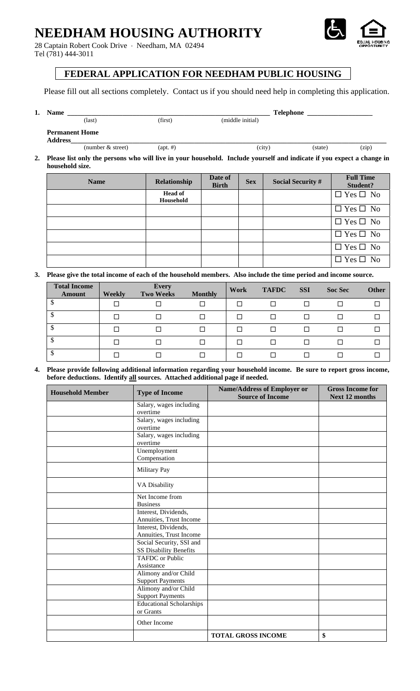## **NEEDHAM HOUSING AUTHORITY**

28 Captain Robert Cook Drive ⋅ Needham, MA 02494 Tel (781) 444-3011



### **FEDERAL APPLICATION FOR NEEDHAM PUBLIC HOUSING**

Please fill out all sections completely. Contact us if you should need help in completing this application.

| <b>Name</b>           |                     |                   | <b>Telephone</b> |         |       |
|-----------------------|---------------------|-------------------|------------------|---------|-------|
|                       | $\text{(last)}$     | (first)           | (middle initial) |         |       |
| <b>Permanent Home</b> |                     |                   |                  |         |       |
| <b>Address</b>        |                     |                   |                  |         |       |
|                       | (number $&$ street) | $(\text{apt.}\#)$ | (city)           | (state) | (zip) |

**2. Please list only the persons who will live in your household. Include yourself and indicate if you expect a change in household size.** 

| <b>Name</b> | Relationship                | Date of<br><b>Birth</b> | <b>Sex</b> | <b>Social Security #</b> | <b>Full Time</b><br>Student? |
|-------------|-----------------------------|-------------------------|------------|--------------------------|------------------------------|
|             | <b>Head of</b><br>Household |                         |            |                          | $\Box$ Yes $\Box$ No         |
|             |                             |                         |            |                          | $\Box$ Yes $\Box$ No         |
|             |                             |                         |            |                          | $\Box$ Yes $\Box$ No         |
|             |                             |                         |            |                          | $\Box$ Yes $\Box$ No         |
|             |                             |                         |            |                          | $\Box$ Yes $\Box$ No         |
|             |                             |                         |            |                          | $\Box$ Yes $\Box$ No         |

**3. Please give the total income of each of the household members. Also include the time period and income source.** 

| <b>Total Income</b><br>Amount | Weekly | <b>Every</b><br><b>Two Weeks</b> | <b>Monthly</b> | <b>Work</b> | <b>TAFDC</b> | <b>SSI</b> | <b>Soc Sec</b> | <b>Other</b> |
|-------------------------------|--------|----------------------------------|----------------|-------------|--------------|------------|----------------|--------------|
|                               |        |                                  |                |             |              | П          |                | П            |
|                               |        |                                  |                |             |              | П          |                |              |
| ⊅                             |        |                                  |                |             |              | П          |                |              |
| ⊅                             |        |                                  |                |             |              | H          |                |              |
| Φ                             |        |                                  |                |             |              | ΙI         |                |              |

**4. Please provide following additional information regarding your household income. Be sure to report gross income, before deductions. Identify all sources. Attached additional page if needed.** 

| <b>Household Member</b> | <b>Type of Income</b>                              | <b>Name/Address of Employer or</b><br><b>Source of Income</b> | <b>Gross Income for</b><br><b>Next 12 months</b> |
|-------------------------|----------------------------------------------------|---------------------------------------------------------------|--------------------------------------------------|
|                         | Salary, wages including<br>overtime                |                                                               |                                                  |
|                         | Salary, wages including<br>overtime                |                                                               |                                                  |
|                         | Salary, wages including<br>overtime                |                                                               |                                                  |
|                         | Unemployment<br>Compensation                       |                                                               |                                                  |
|                         | Military Pay                                       |                                                               |                                                  |
|                         | <b>VA Disability</b>                               |                                                               |                                                  |
|                         | Net Income from<br><b>Business</b>                 |                                                               |                                                  |
|                         | Interest, Dividends,<br>Annuities, Trust Income    |                                                               |                                                  |
|                         | Interest, Dividends,<br>Annuities, Trust Income    |                                                               |                                                  |
|                         | Social Security, SSI and<br>SS Disability Benefits |                                                               |                                                  |
|                         | <b>TAFDC</b> or Public<br>Assistance               |                                                               |                                                  |
|                         | Alimony and/or Child<br><b>Support Payments</b>    |                                                               |                                                  |
|                         | Alimony and/or Child<br><b>Support Payments</b>    |                                                               |                                                  |
|                         | <b>Educational Scholarships</b><br>or Grants       |                                                               |                                                  |
|                         | Other Income                                       |                                                               |                                                  |
|                         |                                                    | <b>TOTAL GROSS INCOME</b>                                     | \$                                               |